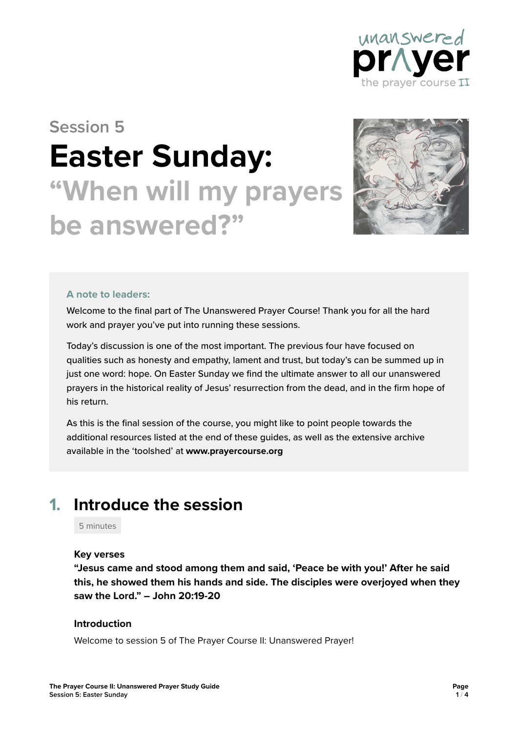

# **Session 5 Easter Sunday: "When will my prayers be answered?"**



#### **A note to leaders:**

Welcome to the final part of The Unanswered Prayer Course! Thank you for all the hard work and prayer you've put into running these sessions.

Today's discussion is one of the most important. The previous four have focused on qualities such as honesty and empathy, lament and trust, but today's can be summed up in just one word: hope. On Easter Sunday we find the ultimate answer to all our unanswered prayers in the historical reality of Jesus' resurrection from the dead, and in the firm hope of his return.

As this is the final session of the course, you might like to point people towards the additional resources listed at the end of these guides, as well as the extensive archive available in the 'toolshed' at **www.prayercourse.org**

### **1. Introduce the session**

5 minutes

#### **Key verses**

**"Jesus came and stood among them and said, 'Peace be with you!' After he said this, he showed them his hands and side. The disciples were overjoyed when they saw the Lord." – John 20:19-20**

#### **Introduction**

Welcome to session 5 of The Prayer Course II: Unanswered Prayer!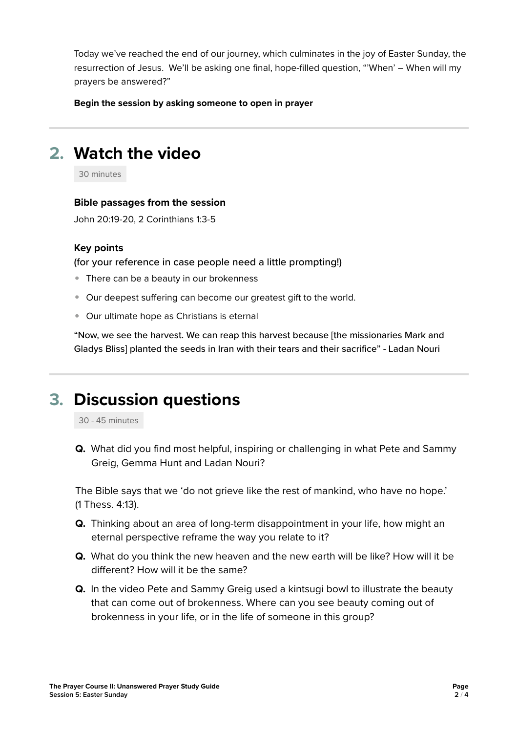Today we've reached the end of our journey, which culminates in the joy of Easter Sunday, the resurrection of Jesus. We'll be asking one final, hope-filled question, "'When' – When will my prayers be answered?"

**Begin the session by asking someone to open in prayer**

### **2. Watch the video**

30 minutes

#### **Bible passages from the session**

John 20:19-20, 2 Corinthians 1:3-5

#### **Key points**

(for your reference in case people need a little prompting!)

- There can be a beauty in our brokenness
- Our deepest suffering can become our greatest gift to the world.
- Our ultimate hope as Christians is eternal

"Now, we see the harvest. We can reap this harvest because [the missionaries Mark and Gladys Bliss] planted the seeds in Iran with their tears and their sacrifice" - Ladan Nouri

### **3. Discussion questions**

30 - 45 minutes

**Q.** What did you find most helpful, inspiring or challenging in what Pete and Sammy Greig, Gemma Hunt and Ladan Nouri?

The Bible says that we 'do not grieve like the rest of mankind, who have no hope.' (1 Thess. 4:13).

- **Q.** Thinking about an area of long-term disappointment in your life, how might an eternal perspective reframe the way you relate to it?
- **Q.** What do you think the new heaven and the new earth will be like? How will it be different? How will it be the same?
- **Q.** In the video Pete and Sammy Greig used a kintsugi bowl to illustrate the beauty that can come out of brokenness. Where can you see beauty coming out of brokenness in your life, or in the life of someone in this group?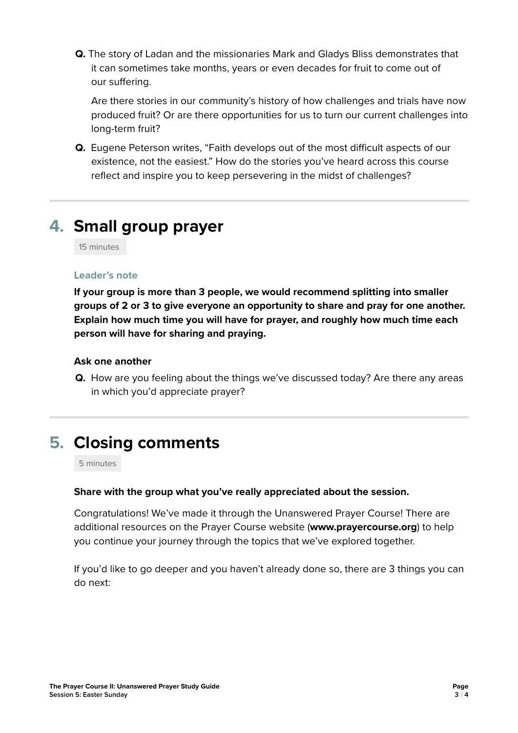**Q.** The story of Ladan and the missionaries Mark and Gladys Bliss demonstrates that it can sometimes take months, years or even decades for fruit to come out of our suffering.

Are there stories in our community's history of how challenges and trials have now produced fruit? Or are there opportunities for us to turn our current challenges into long-term fruit?

**Q.** Eugene Peterson writes, "Faith develops out of the most difficult aspects of our existence, not the easiest." How do the stories you've heard across this course reflect and inspire you to keep persevering in the midst of challenges?

# **4. Small group prayer**

15 minutes

#### **Leader's note**

**If your group is more than 3 people, we would recommend splitting into smaller groups of 2 or 3 to give everyone an opportunity to share and pray for one another. Explain how much time you will have for prayer, and roughly how much time each person will have for sharing and praying.**

#### **Ask one another**

**Q.** How are you feeling about the things we've discussed today? Are there any areas in which you'd appreciate prayer?

### **5. Closing comments**

5 minutes

#### **Share with the group what you've really appreciated about the session.**

Congratulations! We've made it through the Unanswered Prayer Course! There are additional resources on the Prayer Course website (**www.prayercourse.org**) to help you continue your journey through the topics that we've explored together.

If you'd like to go deeper and you haven't already done so, there are 3 things you can do next: